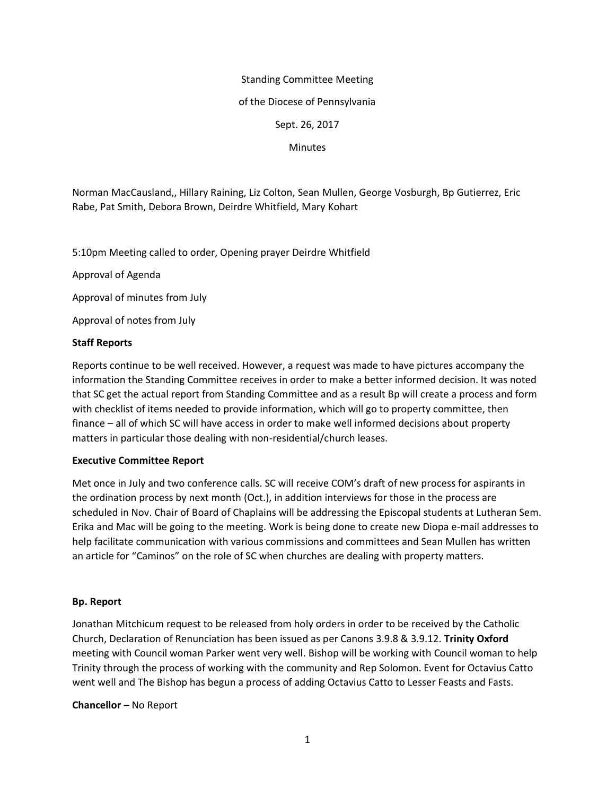# Standing Committee Meeting

### of the Diocese of Pennsylvania

## Sept. 26, 2017

### **Minutes**

Norman MacCausland,, Hillary Raining, Liz Colton, Sean Mullen, George Vosburgh, Bp Gutierrez, Eric Rabe, Pat Smith, Debora Brown, Deirdre Whitfield, Mary Kohart

5:10pm Meeting called to order, Opening prayer Deirdre Whitfield

Approval of Agenda

Approval of minutes from July

Approval of notes from July

# **Staff Reports**

Reports continue to be well received. However, a request was made to have pictures accompany the information the Standing Committee receives in order to make a better informed decision. It was noted that SC get the actual report from Standing Committee and as a result Bp will create a process and form with checklist of items needed to provide information, which will go to property committee, then finance – all of which SC will have access in order to make well informed decisions about property matters in particular those dealing with non-residential/church leases.

## **Executive Committee Report**

Met once in July and two conference calls. SC will receive COM's draft of new process for aspirants in the ordination process by next month (Oct.), in addition interviews for those in the process are scheduled in Nov. Chair of Board of Chaplains will be addressing the Episcopal students at Lutheran Sem. Erika and Mac will be going to the meeting. Work is being done to create new Diopa e-mail addresses to help facilitate communication with various commissions and committees and Sean Mullen has written an article for "Caminos" on the role of SC when churches are dealing with property matters.

## **Bp. Report**

Jonathan Mitchicum request to be released from holy orders in order to be received by the Catholic Church, Declaration of Renunciation has been issued as per Canons 3.9.8 & 3.9.12. **Trinity Oxford** meeting with Council woman Parker went very well. Bishop will be working with Council woman to help Trinity through the process of working with the community and Rep Solomon. Event for Octavius Catto went well and The Bishop has begun a process of adding Octavius Catto to Lesser Feasts and Fasts.

**Chancellor –** No Report